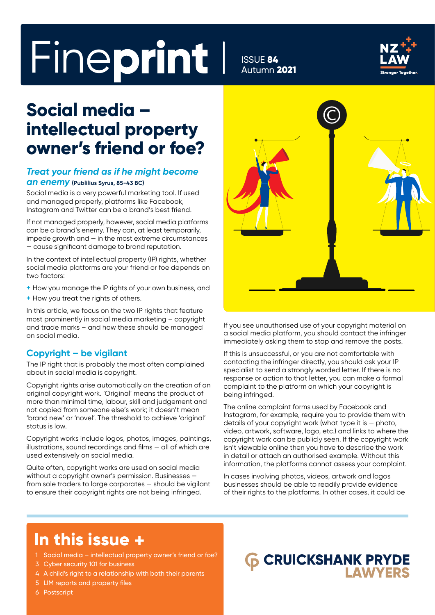# Fineprint I ISSUE 84

Autumn 2021



### **Social media – intellectual property owner's friend or foe?**

### *Treat your friend as if he might become an enemy* **(Publilius Syrus, 85-43 BC)**

Social media is a very powerful marketing tool. If used and managed properly, platforms like Facebook, Instagram and Twitter can be a brand's best friend.

If not managed properly, however, social media platforms can be a brand's enemy. They can, at least temporarily, impede growth and — in the most extreme circumstances — cause significant damage to brand reputation.

In the context of intellectual property (IP) rights, whether social media platforms are your friend or foe depends on two factors:

- **+** How you manage the IP rights of your own business, and
- **+** How you treat the rights of others.

In this article, we focus on the two IP rights that feature most prominently in social media marketing – copyright and trade marks – and how these should be managed on social media.

#### **Copyright – be vigilant**

The IP right that is probably the most often complained about in social media is copyright.

Copyright rights arise automatically on the creation of an original copyright work. 'Original' means the product of more than minimal time, labour, skill and judgement and not copied from someone else's work; it doesn't mean 'brand new' or 'novel'. The threshold to achieve 'original' status is low.

Copyright works include logos, photos, images, paintings, illustrations, sound recordings and films — all of which are used extensively on social media.

Quite often, copyright works are used on social media without a copyright owner's permission. Businesses from sole traders to large corporates — should be vigilant to ensure their copyright rights are not being infringed.



If you see unauthorised use of your copyright material on a social media platform, you should contact the infringer immediately asking them to stop and remove the posts.

If this is unsuccessful, or you are not comfortable with contacting the infringer directly, you should ask your IP specialist to send a strongly worded letter. If there is no response or action to that letter, you can make a formal complaint to the platform on which your copyright is being infringed.

The online complaint forms used by Facebook and Instagram, for example, require you to provide them with details of your copyright work (what type it is — photo, video, artwork, software, logo, etc.) and links to where the copyright work can be publicly seen. If the copyright work isn't viewable online then you have to describe the work in detail or attach an authorised example. Without this information, the platforms cannot assess your complaint.

In cases involving photos, videos, artwork and logos businesses should be able to readily provide evidence of their rights to the platforms. In other cases, it could be

### **In this issue +**

- 1 Social media intellectual property owner's friend or foe?
- 3 Cyber security 101 for business
- 4 A child's right to a relationship with both their parents
- 5 LIM reports and property files
- 6 Postscript

### **CRUICKSHANK PRYDE I AWYERS**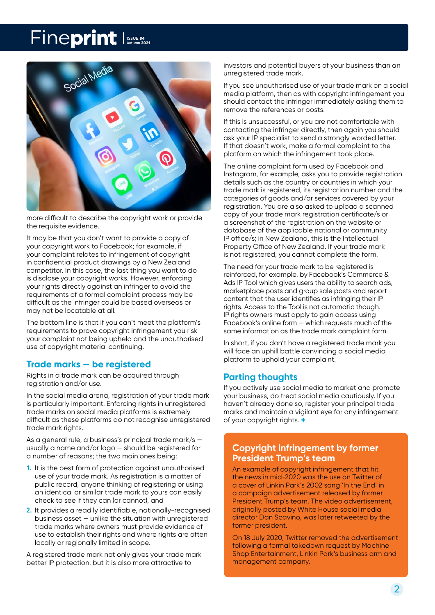### Fineprint Issue 84



more difficult to describe the copyright work or provide the requisite evidence.

It may be that you don't want to provide a copy of your copyright work to Facebook; for example, if your complaint relates to infringement of copyright in confidential product drawings by a New Zealand competitor. In this case, the last thing you want to do is disclose your copyright works. However, enforcing your rights directly against an infringer to avoid the requirements of a formal complaint process may be difficult as the infringer could be based overseas or may not be locatable at all.

The bottom line is that if you can't meet the platform's requirements to prove copyright infringement you risk your complaint not being upheld and the unauthorised use of copyright material continuing.

### **Trade marks — be registered**

Rights in a trade mark can be acquired through registration and/or use.

In the social media arena, registration of your trade mark is particularly important. Enforcing rights in unregistered trade marks on social media platforms is extremely difficult as these platforms do not recognise unregistered trade mark rights.

As a general rule, a business's principal trade mark/s usually a name and/or logo — should be registered for a number of reasons; the two main ones being:

- **1.** It is the best form of protection against unauthorised use of your trade mark. As registration is a matter of public record, anyone thinking of registering or using an identical or similar trade mark to yours can easily check to see if they can (or cannot), and
- **2.** It provides a readily identifiable, nationally-recognised business asset — unlike the situation with unregistered trade marks where owners must provide evidence of use to establish their rights and where rights are often locally or regionally limited in scope.

A registered trade mark not only gives your trade mark better IP protection, but it is also more attractive to

investors and potential buyers of your business than an unregistered trade mark.

If you see unauthorised use of your trade mark on a social media platform, then as with copyright infringement you should contact the infringer immediately asking them to remove the references or posts.

If this is unsuccessful, or you are not comfortable with contacting the infringer directly, then again you should ask your IP specialist to send a strongly worded letter. If that doesn't work, make a formal complaint to the platform on which the infringement took place.

The online complaint form used by Facebook and Instagram, for example, asks you to provide registration details such as the country or countries in which your trade mark is registered, its registration number and the categories of goods and/or services covered by your registration. You are also asked to upload a scanned copy of your trade mark registration certificate/s or a screenshot of the registration on the website or database of the applicable national or community IP office/s; in New Zealand, this is the Intellectual Property Office of New Zealand. If your trade mark is not registered, you cannot complete the form.

The need for your trade mark to be reaistered is reinforced, for example, by Facebook's Commerce & Ads IP Tool which gives users the ability to search ads, marketplace posts and group sale posts and report content that the user identifies as infringing their IP rights. Access to the Tool is not automatic though. IP rights owners must apply to gain access using Facebook's online form — which requests much of the same information as the trade mark complaint form.

In short, if you don't have a registered trade mark you will face an uphill battle convincing a social media platform to uphold your complaint.

### **Parting thoughts**

If you actively use social media to market and promote your business, do treat social media cautiously. If you haven't already done so, register your principal trade marks and maintain a vigilant eye for any infringement of your copyright rights. **+**

### **Copyright infringement by former President Trump's team**

An example of copyright infringement that hit the news in mid-2020 was the use on Twitter of a cover of Linkin Park's 2002 song 'In the End' in a campaign advertisement released by former President Trump's team. The video advertisement, originally posted by White House social media director Dan Scavino, was later retweeted by the former president.

On 18 July 2020, Twitter removed the advertisement following a formal takedown request by Machine Shop Entertainment, Linkin Park's business arm and management company.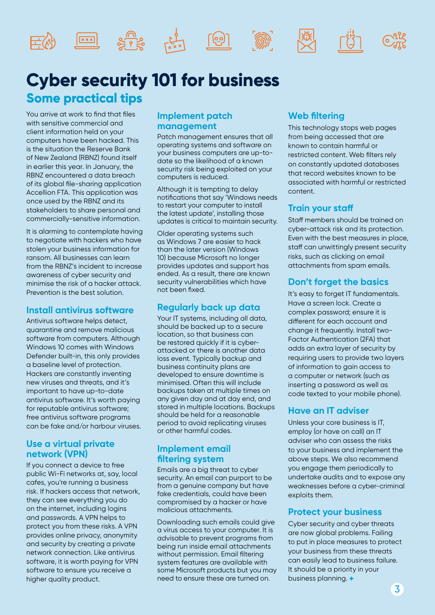











### **Cyber security 101 for business Some practical tips**

You arrive at work to find that files with sensitive commercial and client information held on your computers have been hacked. This is the situation the Reserve Bank of New Zealand (RBNZ) found itself in earlier this year. In January, the RBNZ encountered a data breach of its global file-sharing application Accellion FTA. This application was once used by the RBNZ and its stakeholders to share personal and commercially-sensitive information.

It is alarming to contemplate having to negotiate with hackers who have stolen your business information for ransom. All businesses can learn from the RBNZ's incident to increase awareness of cyber security and minimise the risk of a hacker attack. Prevention is the best solution.

### **Install antivirus software**

Antivirus software helps detect, quarantine and remove malicious software from computers. Although Windows 10 comes with Windows Defender built-in, this only provides a baseline level of protection. Hackers are constantly inventing new viruses and threats, and it's important to have up-to-date antivirus software. It's worth paying for reputable antivirus software; free antivirus software programs can be fake and/or harbour viruses.

### **Use a virtual private network (VPN)**

If you connect a device to free public Wi-Fi networks at, say, local cafes, you're running a business risk. If hackers access that network, they can see everything you do on the internet, including logins and passwords. A VPN helps to protect you from these risks. A VPN provides online privacy, anonymity and security by creating a private network connection. Like antivirus software, it is worth paying for VPN software to ensure you receive a higher quality product.

### **Implement patch management**

Patch management ensures that all operating systems and software on your business computers are up-todate so the likelihood of a known security risk being exploited on your computers is reduced.

Although it is tempting to delay notifications that say 'Windows needs to restart your computer to install the latest update', installing those updates is critical to maintain security.

Older operating systems such as Windows 7 are easier to hack than the later version (Windows 10) because Microsoft no longer provides updates and support has ended. As a result, there are known security vulnerabilities which have not been fixed.

### **Regularly back up data**

Your IT systems, including all data, should be backed up to a secure location, so that business can be restored quickly if it is cyberattacked or there is another data loss event. Typically backup and business continuity plans are developed to ensure downtime is minimised. Often this will include backups taken at multiple times on any given day and at day end, and stored in multiple locations. Backups should be held for a reasonable period to avoid replicating viruses or other harmful codes.

### **Implement email filtering system**

Emails are a big threat to cyber security. An email can purport to be from a genuine company but have fake credentials, could have been compromised by a hacker or have malicious attachments.

Downloading such emails could give a virus access to your computer. It is advisable to prevent programs from being run inside email attachments without permission. Email filtering system features are available with some Microsoft products but you may need to ensure these are turned on.

### **Web filtering**

This technology stops web pages from being accessed that are known to contain harmful or restricted content. Web filters rely on constantly updated databases that record websites known to be associated with harmful or restricted content.

### **Train your staff**

Staff members should be trained on cyber-attack risk and its protection. Even with the best measures in place, staff can unwittingly present security risks, such as clicking on email attachments from spam emails.

### **Don't forget the basics**

It's easy to forget IT fundamentals. Have a screen lock. Create a complex password; ensure it is different for each account and change it frequently. Install two-Factor Authentication (2FA) that adds an extra layer of security by requiring users to provide two layers of information to gain access to a computer or network (such as inserting a password as well as code texted to your mobile phone).

### **Have an IT adviser**

Unless your core business is IT, employ (or have on call) an IT adviser who can assess the risks to your business and implement the above steps. We also recommend you engage them periodically to undertake audits and to expose any weaknesses before a cyber-criminal exploits them.

### **Protect your business**

Cyber security and cyber threats are now global problems. Failing to put in place measures to protect your business from these threats can easily lead to business failure. It should be a priority in your business planning. **+**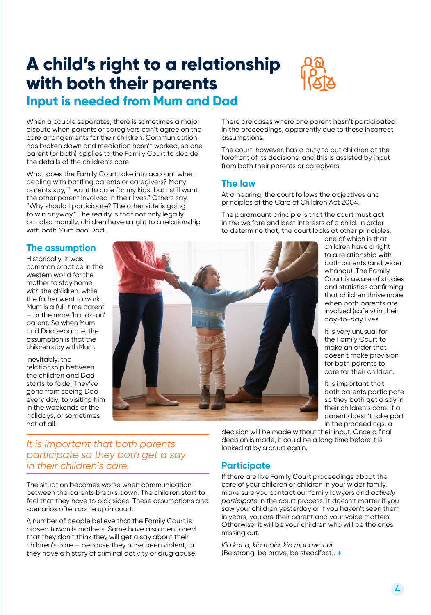### **A child's right to a relationship with both their parents**



### **Input is needed from Mum and Dad**

When a couple separates, there is sometimes a major dispute when parents or caregivers can't agree on the care arrangements for their children. Communication has broken down and mediation hasn't worked, so one parent (or both) applies to the Family Court to decide the details of the children's care.

What does the Family Court take into account when dealing with battling parents or caregivers? Many parents say, "I want to care for my kids, but I still want the other parent involved in their lives." Others say, "Why should I participate? The other side is going to win anyway." The reality is that not only legally but also morally, children have a right to a relationship with both Mum *and* Dad.

**The assumption**

Historically, it was common practice in the western world for the mother to stay home with the children, while the father went to work. Mum is a full-time parent — or the more 'hands-on' parent. So when Mum and Dad separate, the assumption is that the children stay with Mum.

Inevitably, the relationship between the children and Dad starts to fade. They've gone from seeing Dad every day, to visiting him in the weekends or the holidays, or sometimes not at all.



There are cases where one parent hasn't participated in the proceedings, apparently due to these incorrect assumptions.

The court, however, has a duty to put children at the forefront of its decisions, and this is assisted by input from both their parents or caregivers.

### **The law**

At a hearing, the court follows the objectives and principles of the Care of Children Act 2004.

The paramount principle is that the court must act in the welfare and best interests of a child. In order to determine that, the court looks at other principles,

one of which is that children have a right to a relationship with both parents (and wider whānau). The Family Court is aware of studies and statistics confirming that children thrive more when both parents are involved (safely) in their day-to-day lives.

It is very unusual for the Family Court to make an order that doesn't make provision for both parents to care for their children.

It is important that both parents participate so they both get a say in their children's care. If a parent doesn't take part in the proceedings, a

### *It is important that both parents participate so they both get a say in their children's care.*

The situation becomes worse when communication between the parents breaks down. The children start to feel that they have to pick sides. These assumptions and scenarios often come up in court.

A number of people believe that the Family Court is biased towards mothers. Some have also mentioned that they don't think they will get a say about their children's care — because they have been violent, or they have a history of criminal activity or drug abuse.

decision will be made without their input. Once a final decision is made, it could be a long time before it is looked at by a court again.

### **Participate**

If there are live Family Court proceedings about the care of your children or children in your wider family, make sure you contact our family lawyers and *actively participate* in the court process. It doesn't matter if you saw your children yesterday or if you haven't seen them in years, you are their parent and your voice matters. Otherwise, it will be your children who will be the ones missing out.

*Kia kaha, kia māia, kia manawanui* (Be strong, be brave, be steadfast). **+**

4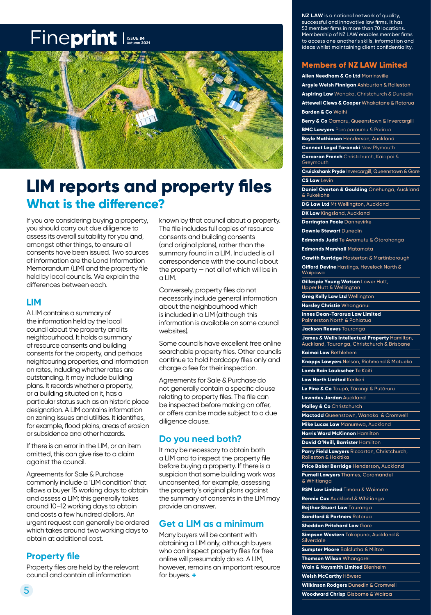### Fineprint Issue 84



### **LIM reports and property files What is the difference?**

If you are considering buying a property, you should carry out due diligence to assess its overall suitability for you and, amongst other things, to ensure all consents have been issued. Two sources of information are the Land Information Memorandum (LIM) and the property file held by local councils. We explain the differences between each.

#### **LIM**

A LIM contains a summary of the information held by the local council about the property and its neighbourhood. It holds a summary of resource consents and building consents for the property, and perhaps neighbouring properties, and information on rates, including whether rates are outstanding. It may include building plans. It records whether a property, or a building situated on it, has a particular status such as an historic place designation. A LIM contains information on zoning issues and utilities. It identifies, for example, flood plains, areas of erosion or subsidence and other hazards.

If there is an error in the LIM, or an item omitted, this can give rise to a claim against the council.

Agreements for Sale & Purchase commonly include a 'LIM condition' that allows a buyer 15 working days to obtain and assess a LIM; this generally takes around 10–12 working days to obtain and costs a few hundred dollars. An urgent request can generally be ordered which takes around two working days to obtain at additional cost.

### **Property file**

Property files are held by the relevant council and contain all information

known by that council about a property. The file includes full copies of resource consents and building consents (and original plans), rather than the summary found in a LIM. Included is all correspondence with the council about the property — not all of which will be in  $\alpha$  LIM.

Conversely, property files do not necessarily include general information about the neighbourhood which is included in a LIM (although this information is available on some council websites).

Some councils have excellent free online searchable property files. Other councils continue to hold hardcopy files only and charge a fee for their inspection.

Agreements for Sale & Purchase do not generally contain a specific clause relating to property files. The file can be inspected before making an offer, or offers can be made subject to a due diligence clause.

#### **Do you need both?**

It may be necessary to obtain both a LIM and to inspect the property file before buying a property. If there is a suspicion that some building work was unconsented, for example, assessing the property's original plans against the summary of consents in the LIM may provide an answer.

#### **Get a LIM as a minimum**

Many buyers will be content with obtaining a LIM only, although buyers who can inspect property files for free online will presumably do so. A LIM, however, remains an important resource for buyers. **+**

**NZ LAW** is a national network of quality, successful and innovative law firms. It has 53 member firms in more than 70 locations. Membership of NZ LAW enables member firms to access one another's skills, information and ideas whilst maintaining client confidentiality.

#### **Members of NZ LAW Limited**

**Allen Needham & Co Ltd** Morrinsville **Argyle Welsh Finnigan** Ashburton & Rolleston **Aspiring Law** Wanaka, Christchurch & Dunedin **Attewell Clews & Cooper** Whakatane & Rotorua **Barden & Co** Waihi **Berry & Co** Oamaru, Queenstown & Invercargill **BMC Lawyers** Paraparaumu & Porirua **Boyle Mathieson** Henderson, Auckland **Connect Legal Taranaki** New Plymouth **Corcoran French** Christchurch, Kaiapoi & Greymouth **Cruickshank Pryde** Invercargill, Queenstown & Gore **CS Law** Levin **Daniel Overton & Goulding** Onehunga, Auckland & Pukekohe **DG Law Ltd** Mt Wellington, Auckland **DK Law** Kingsland, Auckland **Dorrington Poole** Dannevirke **Downie Stewart** Dunedin **Edmonds Judd** Te Awamutu & Ōtorohanga **Edmonds Marshall** Matamata **Gawith Burridge** Masterton & Martinborough **Gifford Devine** Hastings, Havelock North & Waipawa **Gillespie Young Watson** Lower Hutt, Upper Hutt & Wellington **Greg Kelly Law Ltd** Wellington **Horsley Christie** Whanganui **Innes Dean-Tararua Law Limited** Palmerston North & Pahiatua **Jackson Reeves** Tauranga **James & Wells Intellectual Property** Hamilton, Auckland, Tauranga, Christchurch & Brisbane **Kaimai Law** Bethlehem **Knapps Lawyers** Nelson, Richmond & Motueka **Lamb Bain Laubscher** Te Kūiti **Law North Limited** Kerikeri **Le Pine & Co** Taupō, Tūrangi & Putāruru **Lowndes Jordan** Auckland **Malley & Co** Christchurch **Mactodd** Queenstown, Wanaka & Cromwell **Mike Lucas Law** Manurewa, Auckland **Norris Ward McKinnon** Hamilton **David O'Neill, Barrister** Hamilton **Parry Field Lawyers** Riccarton, Christchurch, Rolleston & Hokitika **Price Baker Berridge** Henderson, Auckland **Purnell Lawyers** Thames, Coromandel & Whitianga **RSM Law Limited** Timaru & Waimate **Rennie Cox** Auckland & Whitianga **Rejthar Stuart Law** Tauranga **Sandford & Partners** Rotorua **Sheddan Pritchard Law** Gore **Simpson Western** Takapuna, Auckland & Silverdale **Sumpter Moore** Balclutha & Milton **Thomson Wilson** Whangarei **Wain & Naysmith Limited** Blenheim **Welsh McCarthy** Hāwera **Wilkinson Rodgers** Dunedin & Cromwell **Woodward Chrisp** Gisborne & Wairoa